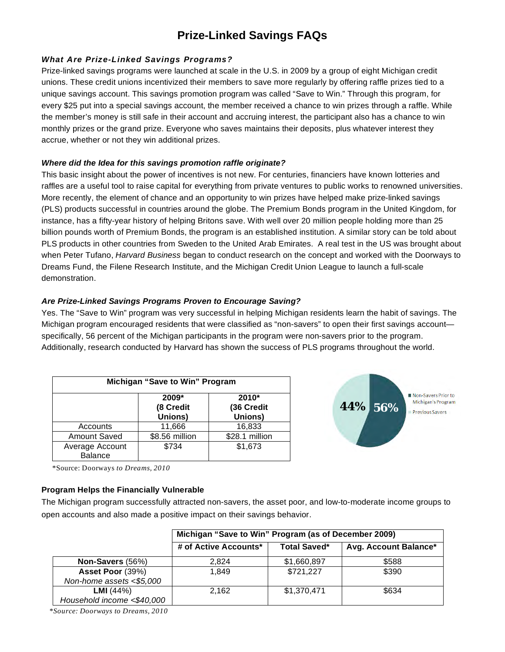# **Prize-Linked Savings FAQs**

# *What Are Prize-Linked Savings Programs?*

Prize-linked savings programs were launched at scale in the U.S. in 2009 by a group of eight Michigan credit unions. These credit unions incentivized their members to save more regularly by offering raffle prizes tied to a unique savings account. This savings promotion program was called "Save to Win." Through this program, for every \$25 put into a special savings account, the member received a chance to win prizes through a raffle. While the member's money is still safe in their account and accruing interest, the participant also has a chance to win monthly prizes or the grand prize. Everyone who saves maintains their deposits, plus whatever interest they accrue, whether or not they win additional prizes.

# *Where did the Idea for this savings promotion raffle originate?*

This basic insight about the power of incentives is not new. For centuries, financiers have known lotteries and raffles are a useful tool to raise capital for everything from private ventures to public works to renowned universities. More recently, the element of chance and an opportunity to win prizes have helped make prize-linked savings (PLS) products successful in countries around the globe. The Premium Bonds program in the United Kingdom, for instance, has a fifty-year history of helping Britons save. With well over 20 million people holding more than 25 billion pounds worth of Premium Bonds, the program is an established institution. A similar story can be told about PLS products in other countries from Sweden to the United Arab Emirates. A real test in the US was brought about when Peter Tufano, *Harvard Business* began to conduct research on the concept and worked with the Doorways to Dreams Fund, the Filene Research Institute, and the Michigan Credit Union League to launch a full-scale demonstration.

# *Are Prize-Linked Savings Programs Proven to Encourage Saving?*

Yes. The "Save to Win" program was very successful in helping Michigan residents learn the habit of savings. The Michigan program encouraged residents that were classified as "non-savers" to open their first savings account specifically, 56 percent of the Michigan participants in the program were non-savers prior to the program. Additionally, research conducted by Harvard has shown the success of PLS programs throughout the world.

| Michigan "Save to Win" Program    |                               |                                  |  |  |
|-----------------------------------|-------------------------------|----------------------------------|--|--|
|                                   | 2009*<br>(8 Credit<br>Unions) | $2010*$<br>(36 Credit<br>Unions) |  |  |
| Accounts                          | 11,666                        | 16,833                           |  |  |
| <b>Amount Saved</b>               | \$8.56 million                | \$28.1 million                   |  |  |
| Average Account<br><b>Balance</b> | \$734                         | \$1,673                          |  |  |



\*Source: Doorways *to Dreams, 2010*

# **Program Helps the Financially Vulnerable**

The Michigan program successfully attracted non-savers, the asset poor, and low-to-moderate income groups to open accounts and also made a positive impact on their savings behavior.

|                            | Michigan "Save to Win" Program (as of December 2009) |                     |                       |
|----------------------------|------------------------------------------------------|---------------------|-----------------------|
|                            | # of Active Accounts*                                | <b>Total Saved*</b> | Avg. Account Balance* |
| Non-Savers (56%)           | 2.824                                                | \$1,660,897         | \$588                 |
| Asset Poor (39%)           | 1.849                                                | \$721,227           | \$390                 |
| Non-home assets <\$5,000   |                                                      |                     |                       |
| <b>LMI</b> $(44%)$         | 2,162                                                | \$1,370,471         | \$634                 |
| Household income <\$40,000 |                                                      |                     |                       |

*\*Source: Doorways to Dreams, 2010*